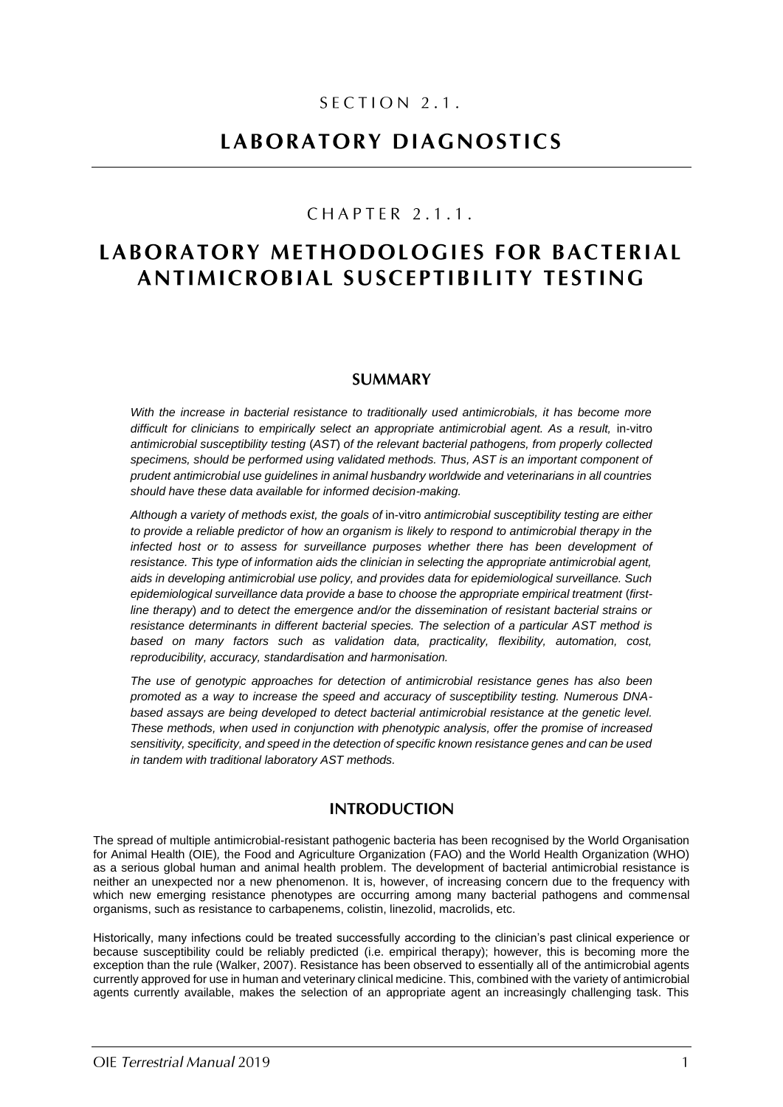# SECTION 2.1.

# LABORATORY DIAGNOSTICS

# CHAPTER 2.1.1.

# LABORATORY METHODOLOGIES FOR BACTERIAL **ANTIMICROBIAL SUSCEPTIBILITY TESTING**

### **SUMMARY**

*With the increase in bacterial resistance to traditionally used antimicrobials, it has become more*  difficult for clinicians to empirically select an appropriate antimicrobial agent. As a result, in-vitro *antimicrobial susceptibility testing* (*AST*) *of the relevant bacterial pathogens, from properly collected specimens, should be performed using validated methods. Thus, AST is an important component of prudent antimicrobial use guidelines in animal husbandry worldwide and veterinarians in all countries should have these data available for informed decision-making.*

*Although a variety of methods exist, the goals of* in-vitro *antimicrobial susceptibility testing are either to provide a reliable predictor of how an organism is likely to respond to antimicrobial therapy in the infected host or to assess for surveillance purposes whether there has been development of resistance. This type of information aids the clinician in selecting the appropriate antimicrobial agent, aids in developing antimicrobial use policy, and provides data for epidemiological surveillance. Such*  epidemiological surveillance data provide a base to choose the appropriate empirical treatment (first*line therapy*) *and to detect the emergence and/or the dissemination of resistant bacterial strains or resistance determinants in different bacterial species. The selection of a particular AST method is based on many factors such as validation data, practicality, flexibility, automation, cost, reproducibility, accuracy, standardisation and harmonisation.*

*The use of genotypic approaches for detection of antimicrobial resistance genes has also been promoted as a way to increase the speed and accuracy of susceptibility testing. Numerous DNAbased assays are being developed to detect bacterial antimicrobial resistance at the genetic level. These methods, when used in conjunction with phenotypic analysis, offer the promise of increased sensitivity, specificity, and speed in the detection of specific known resistance genes and can be used in tandem with traditional laboratory AST methods.*

## **INTRODUCTION**

The spread of multiple antimicrobial-resistant pathogenic bacteria has been recognised by the World Organisation for Animal Health (OIE)*,* the Food and Agriculture Organization (FAO) and the World Health Organization (WHO) as a serious global human and animal health problem. The development of bacterial antimicrobial resistance is neither an unexpected nor a new phenomenon. It is, however, of increasing concern due to the frequency with which new emerging resistance phenotypes are occurring among many bacterial pathogens and commensal organisms, such as resistance to carbapenems, colistin, linezolid, macrolids, etc.

Historically, many infections could be treated successfully according to the clinician's past clinical experience or because susceptibility could be reliably predicted (i.e. empirical therapy); however, this is becoming more the exception than the rule (Walker, 2007). Resistance has been observed to essentially all of the antimicrobial agents currently approved for use in human and veterinary clinical medicine. This, combined with the variety of antimicrobial agents currently available, makes the selection of an appropriate agent an increasingly challenging task. This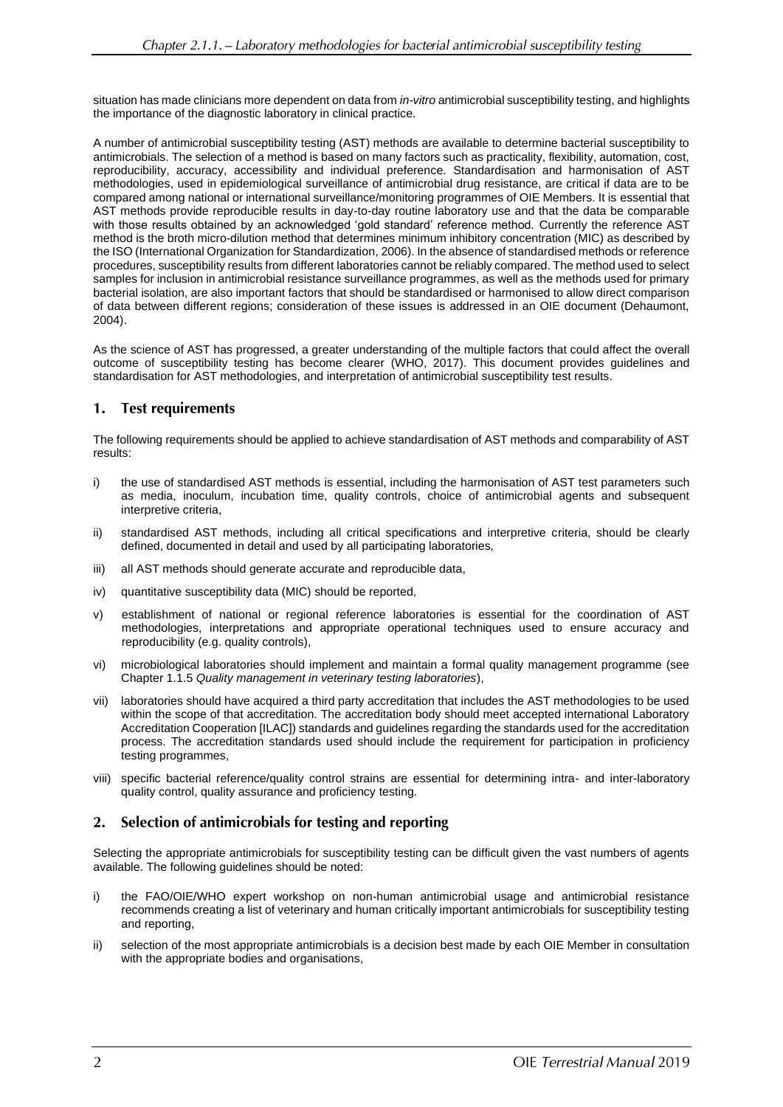situation has made clinicians more dependent on data from *in-vitro* antimicrobial susceptibility testing, and highlights the importance of the diagnostic laboratory in clinical practice.

A number of antimicrobial susceptibility testing (AST) methods are available to determine bacterial susceptibility to antimicrobials. The selection of a method is based on many factors such as practicality, flexibility, automation, cost, reproducibility, accuracy, accessibility and individual preference. Standardisation and harmonisation of AST methodologies, used in epidemiological surveillance of antimicrobial drug resistance, are critical if data are to be compared among national or international surveillance/monitoring programmes of OIE Members. It is essential that AST methods provide reproducible results in day-to-day routine laboratory use and that the data be comparable with those results obtained by an acknowledged 'gold standard' reference method. Currently the reference AST method is the broth micro-dilution method that determines minimum inhibitory concentration (MIC) as described by the ISO (International Organization for Standardization, 2006). In the absence of standardised methods or reference procedures, susceptibility results from different laboratories cannot be reliably compared. The method used to select samples for inclusion in antimicrobial resistance surveillance programmes, as well as the methods used for primary bacterial isolation, are also important factors that should be standardised or harmonised to allow direct comparison of data between different regions; consideration of these issues is addressed in an OIE document (Dehaumont, 2004).

As the science of AST has progressed, a greater understanding of the multiple factors that could affect the overall outcome of susceptibility testing has become clearer (WHO, 2017). This document provides guidelines and standardisation for AST methodologies, and interpretation of antimicrobial susceptibility test results.

#### 1. **Test requirements**

The following requirements should be applied to achieve standardisation of AST methods and comparability of AST results:

- i) the use of standardised AST methods is essential, including the harmonisation of AST test parameters such as media, inoculum, incubation time, quality controls, choice of antimicrobial agents and subsequent interpretive criteria,
- ii) standardised AST methods, including all critical specifications and interpretive criteria, should be clearly defined, documented in detail and used by all participating laboratories,
- iii) all AST methods should generate accurate and reproducible data,
- iv) quantitative susceptibility data (MIC) should be reported,
- v) establishment of national or regional reference laboratories is essential for the coordination of AST methodologies, interpretations and appropriate operational techniques used to ensure accuracy and reproducibility (e.g. quality controls),
- vi) microbiological laboratories should implement and maintain a formal quality management programme (see Chapter 1.1.5 *Quality management in veterinary testing laboratories*),
- vii) laboratories should have acquired a third party accreditation that includes the AST methodologies to be used within the scope of that accreditation. The accreditation body should meet accepted international Laboratory Accreditation Cooperation [ILAC]) standards and guidelines regarding the standards used for the accreditation process. The accreditation standards used should include the requirement for participation in proficiency testing programmes,
- viii) specific bacterial reference/quality control strains are essential for determining intra- and inter-laboratory quality control, quality assurance and proficiency testing.

#### $2.$ Selection of antimicrobials for testing and reporting

Selecting the appropriate antimicrobials for susceptibility testing can be difficult given the vast numbers of agents available. The following guidelines should be noted:

- i) the FAO/OIE/WHO expert workshop on non-human antimicrobial usage and antimicrobial resistance recommends creating a list of veterinary and human critically important antimicrobials for susceptibility testing and reporting,
- ii) selection of the most appropriate antimicrobials is a decision best made by each OIE Member in consultation with the appropriate bodies and organisations,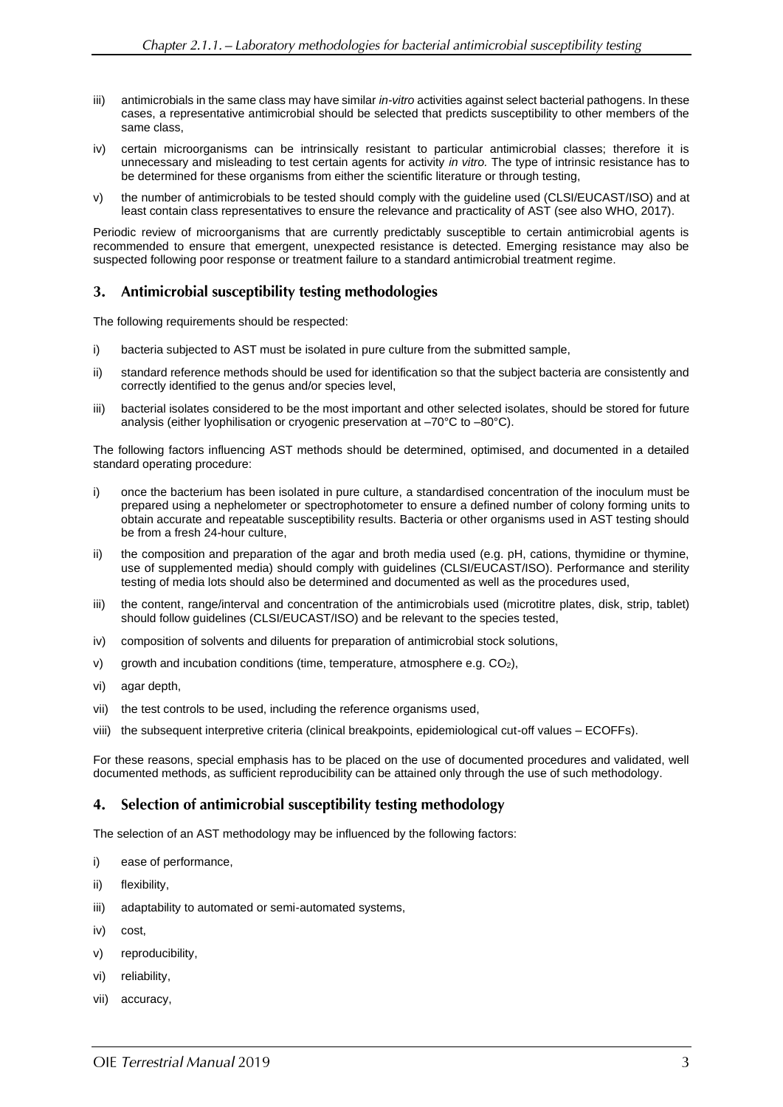- iii) antimicrobials in the same class may have similar *in-vitro* activities against select bacterial pathogens. In these cases, a representative antimicrobial should be selected that predicts susceptibility to other members of the same class,
- iv) certain microorganisms can be intrinsically resistant to particular antimicrobial classes; therefore it is unnecessary and misleading to test certain agents for activity *in vitro.* The type of intrinsic resistance has to be determined for these organisms from either the scientific literature or through testing,
- v) the number of antimicrobials to be tested should comply with the guideline used (CLSI/EUCAST/ISO) and at least contain class representatives to ensure the relevance and practicality of AST (see also WHO, 2017).

Periodic review of microorganisms that are currently predictably susceptible to certain antimicrobial agents is recommended to ensure that emergent, unexpected resistance is detected. Emerging resistance may also be suspected following poor response or treatment failure to a standard antimicrobial treatment regime.

#### Antimicrobial susceptibility testing methodologies 3.

The following requirements should be respected:

- i) bacteria subjected to AST must be isolated in pure culture from the submitted sample,
- ii) standard reference methods should be used for identification so that the subject bacteria are consistently and correctly identified to the genus and/or species level,
- iii) bacterial isolates considered to be the most important and other selected isolates, should be stored for future analysis (either lyophilisation or cryogenic preservation at –70°C to –80°C).

The following factors influencing AST methods should be determined, optimised, and documented in a detailed standard operating procedure:

- i) once the bacterium has been isolated in pure culture, a standardised concentration of the inoculum must be prepared using a nephelometer or spectrophotometer to ensure a defined number of colony forming units to obtain accurate and repeatable susceptibility results. Bacteria or other organisms used in AST testing should be from a fresh 24-hour culture,
- ii) the composition and preparation of the agar and broth media used (e.g. pH, cations, thymidine or thymine, use of supplemented media) should comply with guidelines (CLSI/EUCAST/ISO). Performance and sterility testing of media lots should also be determined and documented as well as the procedures used,
- iii) the content, range/interval and concentration of the antimicrobials used (microtitre plates, disk, strip, tablet) should follow guidelines (CLSI/EUCAST/ISO) and be relevant to the species tested,
- iv) composition of solvents and diluents for preparation of antimicrobial stock solutions,
- v) growth and incubation conditions (time, temperature, atmosphere e.g. CO2),
- vi) agar depth,
- vii) the test controls to be used, including the reference organisms used,
- viii) the subsequent interpretive criteria (clinical breakpoints, epidemiological cut-off values ECOFFs).

For these reasons, special emphasis has to be placed on the use of documented procedures and validated, well documented methods, as sufficient reproducibility can be attained only through the use of such methodology.

#### Selection of antimicrobial susceptibility testing methodology 4.

The selection of an AST methodology may be influenced by the following factors:

- i) ease of performance,
- ii) flexibility,
- iii) adaptability to automated or semi-automated systems,
- iv) cost
- v) reproducibility,
- vi) reliability,
- vii) accuracy,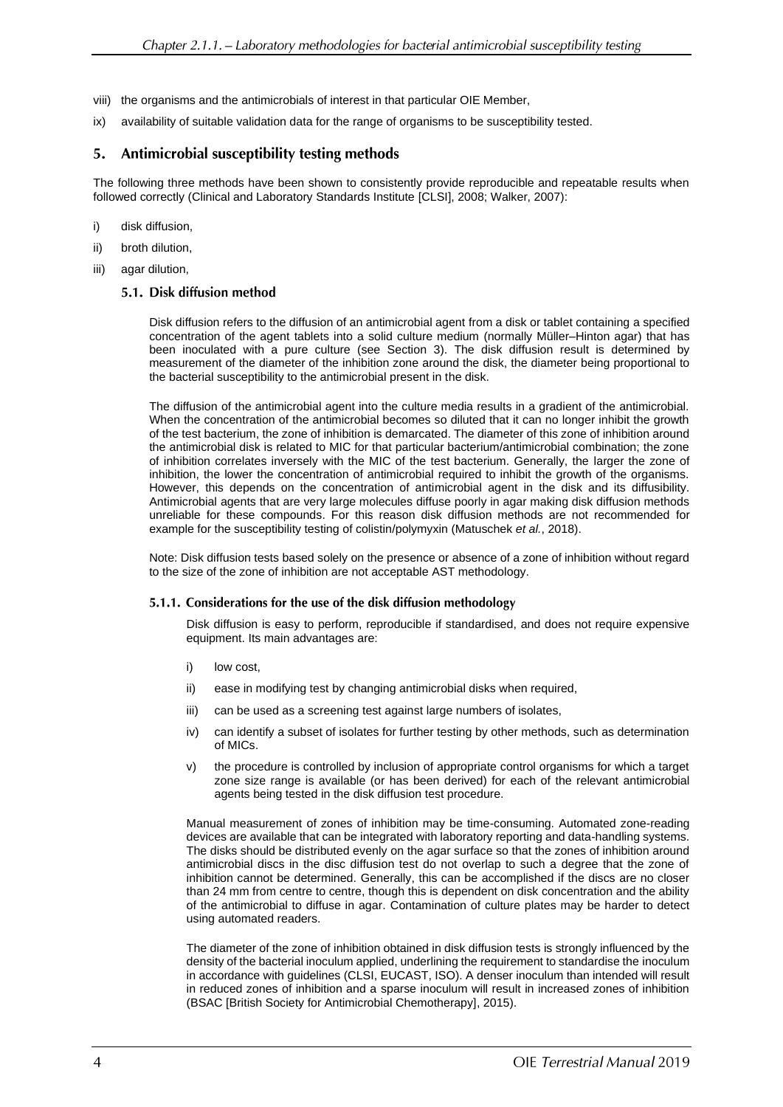- viii) the organisms and the antimicrobials of interest in that particular OIE Member,
- ix) availability of suitable validation data for the range of organisms to be susceptibility tested.

#### 5. Antimicrobial susceptibility testing methods

The following three methods have been shown to consistently provide reproducible and repeatable results when followed correctly (Clinical and Laboratory Standards Institute [CLSI], 2008; Walker, 2007):

- i) disk diffusion,
- ii) broth dilution,
- iii) agar dilution,

### 5.1. Disk diffusion method

Disk diffusion refers to the diffusion of an antimicrobial agent from a disk or tablet containing a specified concentration of the agent tablets into a solid culture medium (normally Müller–Hinton agar) that has been inoculated with a pure culture (see Section 3). The disk diffusion result is determined by measurement of the diameter of the inhibition zone around the disk, the diameter being proportional to the bacterial susceptibility to the antimicrobial present in the disk.

The diffusion of the antimicrobial agent into the culture media results in a gradient of the antimicrobial. When the concentration of the antimicrobial becomes so diluted that it can no longer inhibit the growth of the test bacterium, the zone of inhibition is demarcated. The diameter of this zone of inhibition around the antimicrobial disk is related to MIC for that particular bacterium/antimicrobial combination; the zone of inhibition correlates inversely with the MIC of the test bacterium. Generally, the larger the zone of inhibition, the lower the concentration of antimicrobial required to inhibit the growth of the organisms. However, this depends on the concentration of antimicrobial agent in the disk and its diffusibility. Antimicrobial agents that are very large molecules diffuse poorly in agar making disk diffusion methods unreliable for these compounds. For this reason disk diffusion methods are not recommended for example for the susceptibility testing of colistin/polymyxin (Matuschek *et al.*, 2018).

Note: Disk diffusion tests based solely on the presence or absence of a zone of inhibition without regard to the size of the zone of inhibition are not acceptable AST methodology.

### 5.1.1. Considerations for the use of the disk diffusion methodology

Disk diffusion is easy to perform, reproducible if standardised, and does not require expensive equipment. Its main advantages are:

- i) low cost,
- ii) ease in modifying test by changing antimicrobial disks when required,
- iii) can be used as a screening test against large numbers of isolates,
- iv) can identify a subset of isolates for further testing by other methods, such as determination of MICs.
- v) the procedure is controlled by inclusion of appropriate control organisms for which a target zone size range is available (or has been derived) for each of the relevant antimicrobial agents being tested in the disk diffusion test procedure.

Manual measurement of zones of inhibition may be time-consuming. Automated zone-reading devices are available that can be integrated with laboratory reporting and data-handling systems. The disks should be distributed evenly on the agar surface so that the zones of inhibition around antimicrobial discs in the disc diffusion test do not overlap to such a degree that the zone of inhibition cannot be determined. Generally, this can be accomplished if the discs are no closer than 24 mm from centre to centre, though this is dependent on disk concentration and the ability of the antimicrobial to diffuse in agar. Contamination of culture plates may be harder to detect using automated readers.

The diameter of the zone of inhibition obtained in disk diffusion tests is strongly influenced by the density of the bacterial inoculum applied, underlining the requirement to standardise the inoculum in accordance with guidelines (CLSI, EUCAST, ISO). A denser inoculum than intended will result in reduced zones of inhibition and a sparse inoculum will result in increased zones of inhibition (BSAC [British Society for Antimicrobial Chemotherapy], 2015).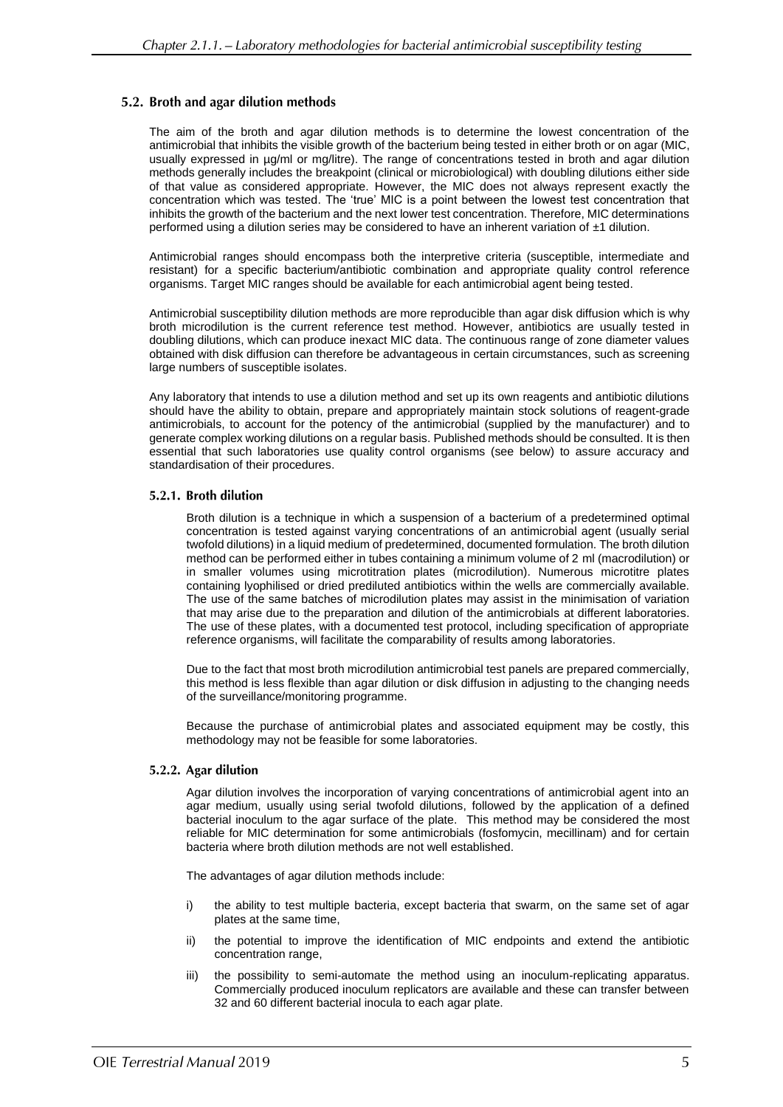### 5.2. Broth and agar dilution methods

The aim of the broth and agar dilution methods is to determine the lowest concentration of the antimicrobial that inhibits the visible growth of the bacterium being tested in either broth or on agar (MIC, usually expressed in µg/ml or mg/litre). The range of concentrations tested in broth and agar dilution methods generally includes the breakpoint (clinical or microbiological) with doubling dilutions either side of that value as considered appropriate. However, the MIC does not always represent exactly the concentration which was tested. The 'true' MIC is a point between the lowest test concentration that inhibits the growth of the bacterium and the next lower test concentration. Therefore, MIC determinations performed using a dilution series may be considered to have an inherent variation of  $\pm 1$  dilution.

Antimicrobial ranges should encompass both the interpretive criteria (susceptible, intermediate and resistant) for a specific bacterium/antibiotic combination and appropriate quality control reference organisms. Target MIC ranges should be available for each antimicrobial agent being tested.

Antimicrobial susceptibility dilution methods are more reproducible than agar disk diffusion which is why broth microdilution is the current reference test method. However, antibiotics are usually tested in doubling dilutions, which can produce inexact MIC data. The continuous range of zone diameter values obtained with disk diffusion can therefore be advantageous in certain circumstances, such as screening large numbers of susceptible isolates.

Any laboratory that intends to use a dilution method and set up its own reagents and antibiotic dilutions should have the ability to obtain, prepare and appropriately maintain stock solutions of reagent-grade antimicrobials, to account for the potency of the antimicrobial (supplied by the manufacturer) and to generate complex working dilutions on a regular basis. Published methods should be consulted. It is then essential that such laboratories use quality control organisms (see below) to assure accuracy and standardisation of their procedures.

### 5.2.1. Broth dilution

Broth dilution is a technique in which a suspension of a bacterium of a predetermined optimal concentration is tested against varying concentrations of an antimicrobial agent (usually serial twofold dilutions) in a liquid medium of predetermined, documented formulation. The broth dilution method can be performed either in tubes containing a minimum volume of 2 ml (macrodilution) or in smaller volumes using microtitration plates (microdilution). Numerous microtitre plates containing lyophilised or dried prediluted antibiotics within the wells are commercially available. The use of the same batches of microdilution plates may assist in the minimisation of variation that may arise due to the preparation and dilution of the antimicrobials at different laboratories. The use of these plates, with a documented test protocol, including specification of appropriate reference organisms, will facilitate the comparability of results among laboratories.

Due to the fact that most broth microdilution antimicrobial test panels are prepared commercially, this method is less flexible than agar dilution or disk diffusion in adjusting to the changing needs of the surveillance/monitoring programme.

Because the purchase of antimicrobial plates and associated equipment may be costly, this methodology may not be feasible for some laboratories.

### 5.2.2. Agar dilution

Agar dilution involves the incorporation of varying concentrations of antimicrobial agent into an agar medium, usually using serial twofold dilutions, followed by the application of a defined bacterial inoculum to the agar surface of the plate. This method may be considered the most reliable for MIC determination for some antimicrobials (fosfomycin, mecillinam) and for certain bacteria where broth dilution methods are not well established.

The advantages of agar dilution methods include:

- i) the ability to test multiple bacteria, except bacteria that swarm, on the same set of agar plates at the same time,
- ii) the potential to improve the identification of MIC endpoints and extend the antibiotic concentration range,
- iii) the possibility to semi-automate the method using an inoculum-replicating apparatus. Commercially produced inoculum replicators are available and these can transfer between 32 and 60 different bacterial inocula to each agar plate.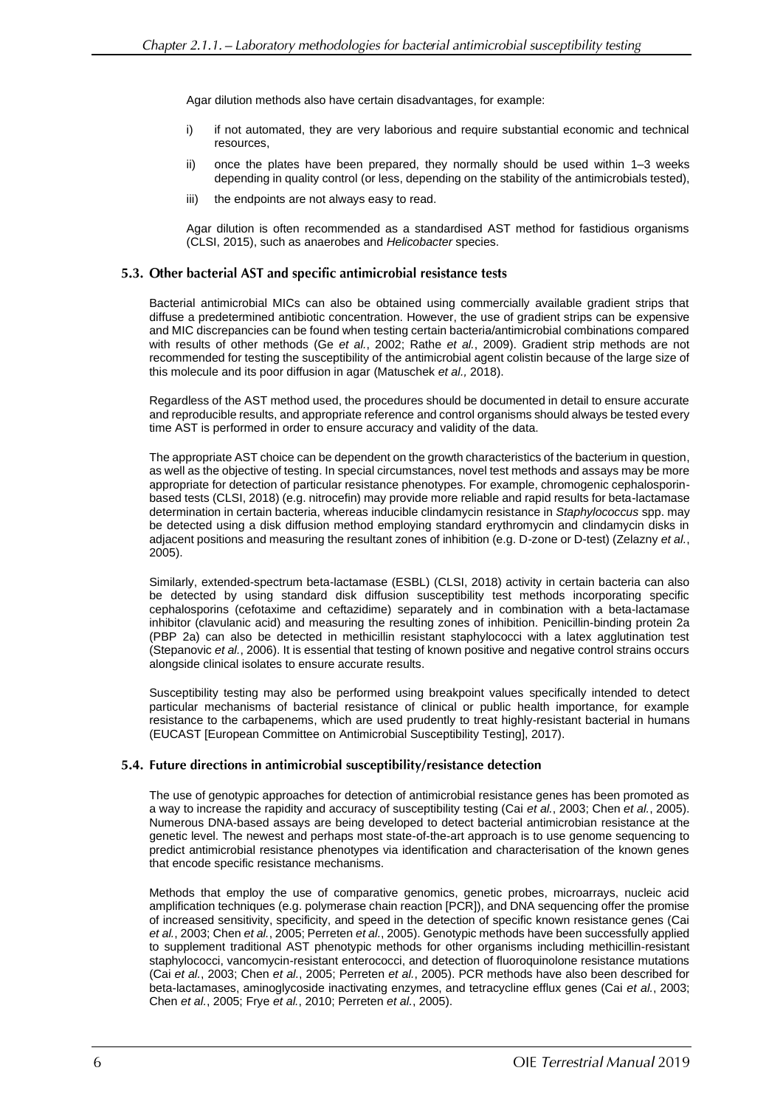Agar dilution methods also have certain disadvantages, for example:

- i) if not automated, they are very laborious and require substantial economic and technical resources,
- ii) once the plates have been prepared, they normally should be used within 1–3 weeks depending in quality control (or less, depending on the stability of the antimicrobials tested),
- iii) the endpoints are not always easy to read.

Agar dilution is often recommended as a standardised AST method for fastidious organisms (CLSI, 2015), such as anaerobes and *Helicobacter* species.

### 5.3. Other bacterial AST and specific antimicrobial resistance tests

Bacterial antimicrobial MICs can also be obtained using commercially available gradient strips that diffuse a predetermined antibiotic concentration. However, the use of gradient strips can be expensive and MIC discrepancies can be found when testing certain bacteria/antimicrobial combinations compared with results of other methods (Ge *et al.*, 2002; Rathe *et al.*, 2009). Gradient strip methods are not recommended for testing the susceptibility of the antimicrobial agent colistin because of the large size of this molecule and its poor diffusion in agar (Matuschek *et al.,* 2018).

Regardless of the AST method used, the procedures should be documented in detail to ensure accurate and reproducible results, and appropriate reference and control organisms should always be tested every time AST is performed in order to ensure accuracy and validity of the data.

The appropriate AST choice can be dependent on the growth characteristics of the bacterium in question, as well as the objective of testing. In special circumstances, novel test methods and assays may be more appropriate for detection of particular resistance phenotypes. For example, chromogenic cephalosporinbased tests (CLSI, 2018) (e.g. nitrocefin) may provide more reliable and rapid results for beta-lactamase determination in certain bacteria, whereas inducible clindamycin resistance in *Staphylococcus* spp. may be detected using a disk diffusion method employing standard erythromycin and clindamycin disks in adjacent positions and measuring the resultant zones of inhibition (e.g. D-zone or D-test) (Zelazny *et al.*, 2005).

Similarly, extended-spectrum beta-lactamase (ESBL) (CLSI, 2018) activity in certain bacteria can also be detected by using standard disk diffusion susceptibility test methods incorporating specific cephalosporins (cefotaxime and ceftazidime) separately and in combination with a beta-lactamase inhibitor (clavulanic acid) and measuring the resulting zones of inhibition. Penicillin-binding protein 2a (PBP 2a) can also be detected in methicillin resistant staphylococci with a latex agglutination test (Stepanovic *et al.*, 2006). It is essential that testing of known positive and negative control strains occurs alongside clinical isolates to ensure accurate results.

Susceptibility testing may also be performed using breakpoint values specifically intended to detect particular mechanisms of bacterial resistance of clinical or public health importance, for example resistance to the carbapenems, which are used prudently to treat highly-resistant bacterial in humans (EUCAST [European Committee on Antimicrobial Susceptibility Testing], 2017).

### 5.4. Future directions in antimicrobial susceptibility/resistance detection

The use of genotypic approaches for detection of antimicrobial resistance genes has been promoted as a way to increase the rapidity and accuracy of susceptibility testing (Cai *et al.*, 2003; Chen *et al.*, 2005). Numerous DNA-based assays are being developed to detect bacterial antimicrobian resistance at the genetic level. The newest and perhaps most state-of-the-art approach is to use genome sequencing to predict antimicrobial resistance phenotypes via identification and characterisation of the known genes that encode specific resistance mechanisms.

Methods that employ the use of comparative genomics, genetic probes, microarrays, nucleic acid amplification techniques (e.g. polymerase chain reaction [PCR]), and DNA sequencing offer the promise of increased sensitivity, specificity, and speed in the detection of specific known resistance genes (Cai *et al.*, 2003; Chen *et al.*, 2005; Perreten *et al.*, 2005). Genotypic methods have been successfully applied to supplement traditional AST phenotypic methods for other organisms including methicillin-resistant staphylococci, vancomycin-resistant enterococci, and detection of fluoroquinolone resistance mutations (Cai *et al.*, 2003; Chen *et al.*, 2005; Perreten *et al.*, 2005). PCR methods have also been described for beta-lactamases, aminoglycoside inactivating enzymes, and tetracycline efflux genes (Cai *et al.*, 2003; Chen *et al.*, 2005; Frye *et al.*, 2010; Perreten *et al.*, 2005).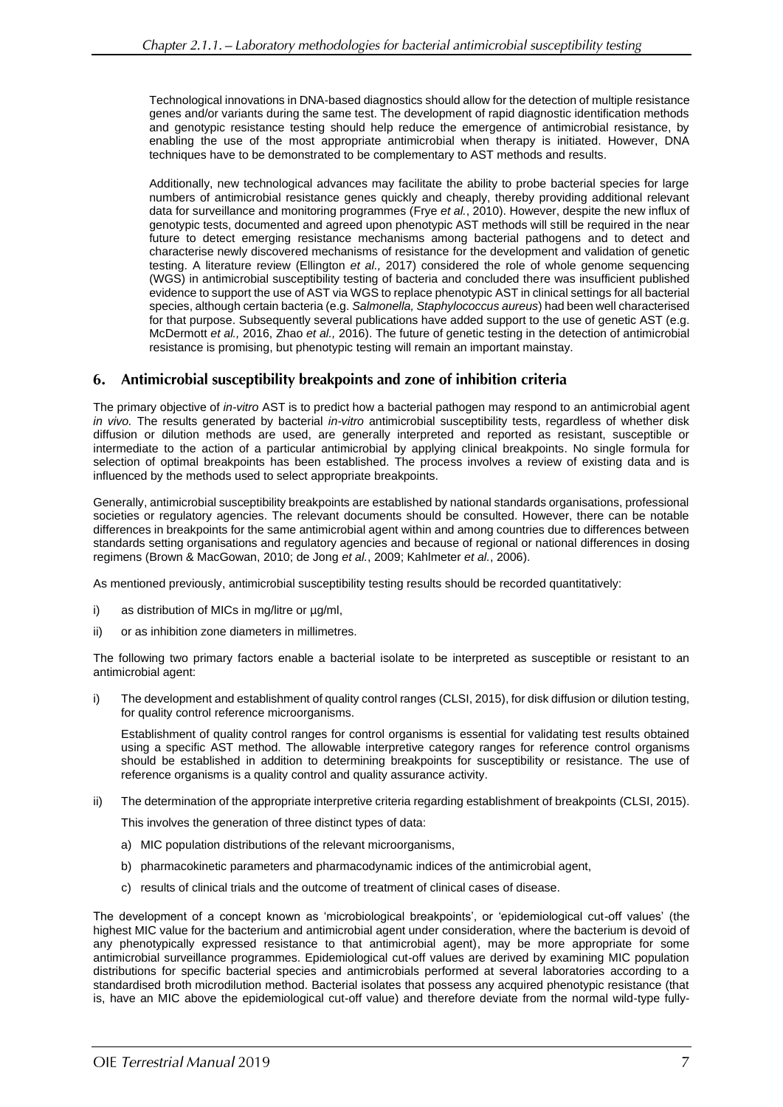Technological innovations in DNA-based diagnostics should allow for the detection of multiple resistance genes and/or variants during the same test. The development of rapid diagnostic identification methods and genotypic resistance testing should help reduce the emergence of antimicrobial resistance, by enabling the use of the most appropriate antimicrobial when therapy is initiated. However, DNA techniques have to be demonstrated to be complementary to AST methods and results.

Additionally, new technological advances may facilitate the ability to probe bacterial species for large numbers of antimicrobial resistance genes quickly and cheaply, thereby providing additional relevant data for surveillance and monitoring programmes (Frye *et al.*, 2010). However, despite the new influx of genotypic tests, documented and agreed upon phenotypic AST methods will still be required in the near future to detect emerging resistance mechanisms among bacterial pathogens and to detect and characterise newly discovered mechanisms of resistance for the development and validation of genetic testing. A literature review (Ellington *et al.,* 2017) considered the role of whole genome sequencing (WGS) in antimicrobial susceptibility testing of bacteria and concluded there was insufficient published evidence to support the use of AST via WGS to replace phenotypic AST in clinical settings for all bacterial species, although certain bacteria (e.g. *Salmonella, Staphylococcus aureus*) had been well characterised for that purpose. Subsequently several publications have added support to the use of genetic AST (e.g. McDermott *et al.,* 2016, Zhao *et al.,* 2016). The future of genetic testing in the detection of antimicrobial resistance is promising, but phenotypic testing will remain an important mainstay.

# 6. Antimicrobial susceptibility breakpoints and zone of inhibition criteria

The primary objective of *in-vitro* AST is to predict how a bacterial pathogen may respond to an antimicrobial agent *in vivo.* The results generated by bacterial *in-vitro* antimicrobial susceptibility tests, regardless of whether disk diffusion or dilution methods are used, are generally interpreted and reported as resistant, susceptible or intermediate to the action of a particular antimicrobial by applying clinical breakpoints. No single formula for selection of optimal breakpoints has been established. The process involves a review of existing data and is influenced by the methods used to select appropriate breakpoints.

Generally, antimicrobial susceptibility breakpoints are established by national standards organisations, professional societies or regulatory agencies. The relevant documents should be consulted. However, there can be notable differences in breakpoints for the same antimicrobial agent within and among countries due to differences between standards setting organisations and regulatory agencies and because of regional or national differences in dosing regimens (Brown & MacGowan, 2010; de Jong *et al.*, 2009; Kahlmeter *et al.*, 2006).

As mentioned previously, antimicrobial susceptibility testing results should be recorded quantitatively:

- i) as distribution of MICs in mg/litre or  $\mu$ g/ml,
- ii) or as inhibition zone diameters in millimetres.

The following two primary factors enable a bacterial isolate to be interpreted as susceptible or resistant to an antimicrobial agent:

i) The development and establishment of quality control ranges (CLSI, 2015), for disk diffusion or dilution testing, for quality control reference microorganisms.

Establishment of quality control ranges for control organisms is essential for validating test results obtained using a specific AST method. The allowable interpretive category ranges for reference control organisms should be established in addition to determining breakpoints for susceptibility or resistance. The use of reference organisms is a quality control and quality assurance activity.

ii) The determination of the appropriate interpretive criteria regarding establishment of breakpoints (CLSI, 2015).

This involves the generation of three distinct types of data:

- a) MIC population distributions of the relevant microorganisms,
- b) pharmacokinetic parameters and pharmacodynamic indices of the antimicrobial agent,
- c) results of clinical trials and the outcome of treatment of clinical cases of disease.

The development of a concept known as 'microbiological breakpoints', or 'epidemiological cut-off values' (the highest MIC value for the bacterium and antimicrobial agent under consideration, where the bacterium is devoid of any phenotypically expressed resistance to that antimicrobial agent), may be more appropriate for some antimicrobial surveillance programmes. Epidemiological cut-off values are derived by examining MIC population distributions for specific bacterial species and antimicrobials performed at several laboratories according to a standardised broth microdilution method. Bacterial isolates that possess any acquired phenotypic resistance (that is, have an MIC above the epidemiological cut-off value) and therefore deviate from the normal wild-type fully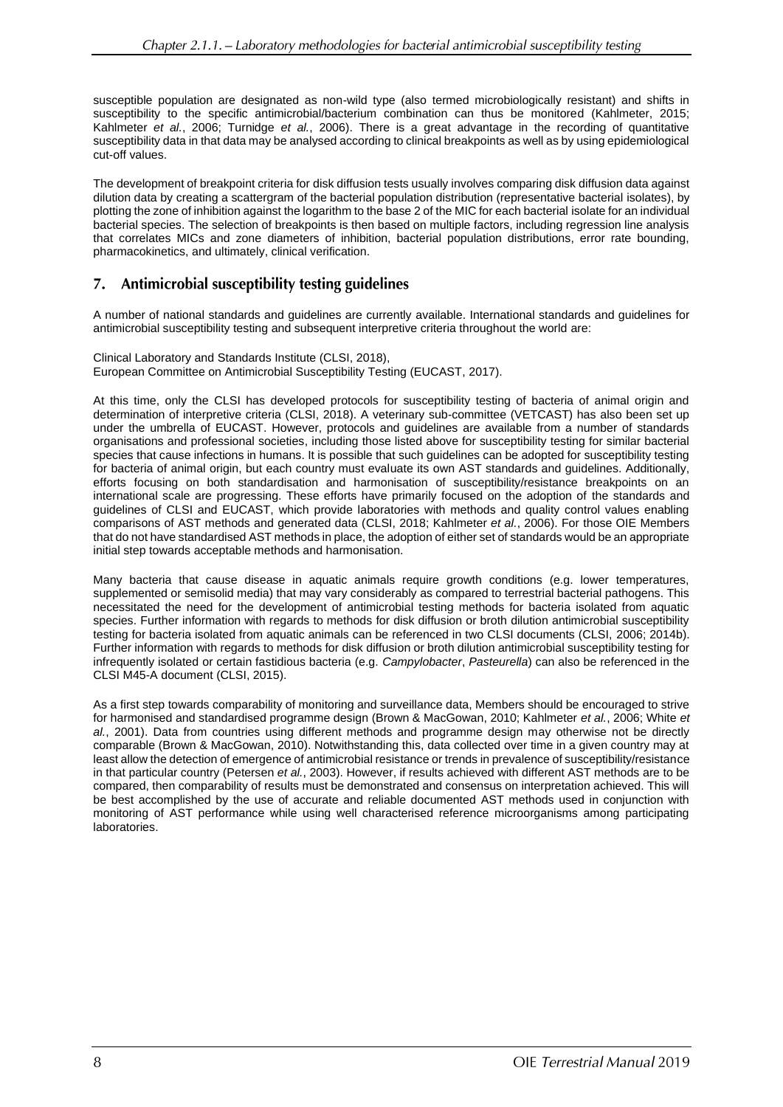susceptible population are designated as non-wild type (also termed microbiologically resistant) and shifts in susceptibility to the specific antimicrobial/bacterium combination can thus be monitored (Kahlmeter, 2015; Kahlmeter *et al.*, 2006; Turnidge *et al.*, 2006). There is a great advantage in the recording of quantitative susceptibility data in that data may be analysed according to clinical breakpoints as well as by using epidemiological cut-off values.

The development of breakpoint criteria for disk diffusion tests usually involves comparing disk diffusion data against dilution data by creating a scattergram of the bacterial population distribution (representative bacterial isolates), by plotting the zone of inhibition against the logarithm to the base 2 of the MIC for each bacterial isolate for an individual bacterial species. The selection of breakpoints is then based on multiple factors, including regression line analysis that correlates MICs and zone diameters of inhibition, bacterial population distributions, error rate bounding, pharmacokinetics, and ultimately, clinical verification.

#### Antimicrobial susceptibility testing guidelines 7.

A number of national standards and guidelines are currently available. International standards and guidelines for antimicrobial susceptibility testing and subsequent interpretive criteria throughout the world are:

Clinical Laboratory and Standards Institute (CLSI, 2018), European Committee on Antimicrobial Susceptibility Testing (EUCAST, 2017).

At this time, only the CLSI has developed protocols for susceptibility testing of bacteria of animal origin and determination of interpretive criteria (CLSI, 2018). A veterinary sub-committee (VETCAST) has also been set up under the umbrella of EUCAST. However, protocols and guidelines are available from a number of standards organisations and professional societies, including those listed above for susceptibility testing for similar bacterial species that cause infections in humans. It is possible that such guidelines can be adopted for susceptibility testing for bacteria of animal origin, but each country must evaluate its own AST standards and guidelines. Additionally, efforts focusing on both standardisation and harmonisation of susceptibility/resistance breakpoints on an international scale are progressing. These efforts have primarily focused on the adoption of the standards and guidelines of CLSI and EUCAST, which provide laboratories with methods and quality control values enabling comparisons of AST methods and generated data (CLSI, 2018; Kahlmeter *et al.*, 2006). For those OIE Members that do not have standardised AST methods in place, the adoption of either set of standards would be an appropriate initial step towards acceptable methods and harmonisation.

Many bacteria that cause disease in aquatic animals require growth conditions (e.g. lower temperatures, supplemented or semisolid media) that may vary considerably as compared to terrestrial bacterial pathogens. This necessitated the need for the development of antimicrobial testing methods for bacteria isolated from aquatic species. Further information with regards to methods for disk diffusion or broth dilution antimicrobial susceptibility testing for bacteria isolated from aquatic animals can be referenced in two CLSI documents (CLSI, 2006; 2014b). Further information with regards to methods for disk diffusion or broth dilution antimicrobial susceptibility testing for infrequently isolated or certain fastidious bacteria (e.g. *Campylobacter*, *Pasteurella*) can also be referenced in the CLSI M45-A document (CLSI, 2015).

As a first step towards comparability of monitoring and surveillance data, Members should be encouraged to strive for harmonised and standardised programme design (Brown & MacGowan, 2010; Kahlmeter *et al.*, 2006; White *et al.*, 2001). Data from countries using different methods and programme design may otherwise not be directly comparable (Brown & MacGowan, 2010). Notwithstanding this, data collected over time in a given country may at least allow the detection of emergence of antimicrobial resistance or trends in prevalence of susceptibility/resistance in that particular country (Petersen *et al.*, 2003). However, if results achieved with different AST methods are to be compared, then comparability of results must be demonstrated and consensus on interpretation achieved. This will be best accomplished by the use of accurate and reliable documented AST methods used in conjunction with monitoring of AST performance while using well characterised reference microorganisms among participating laboratories.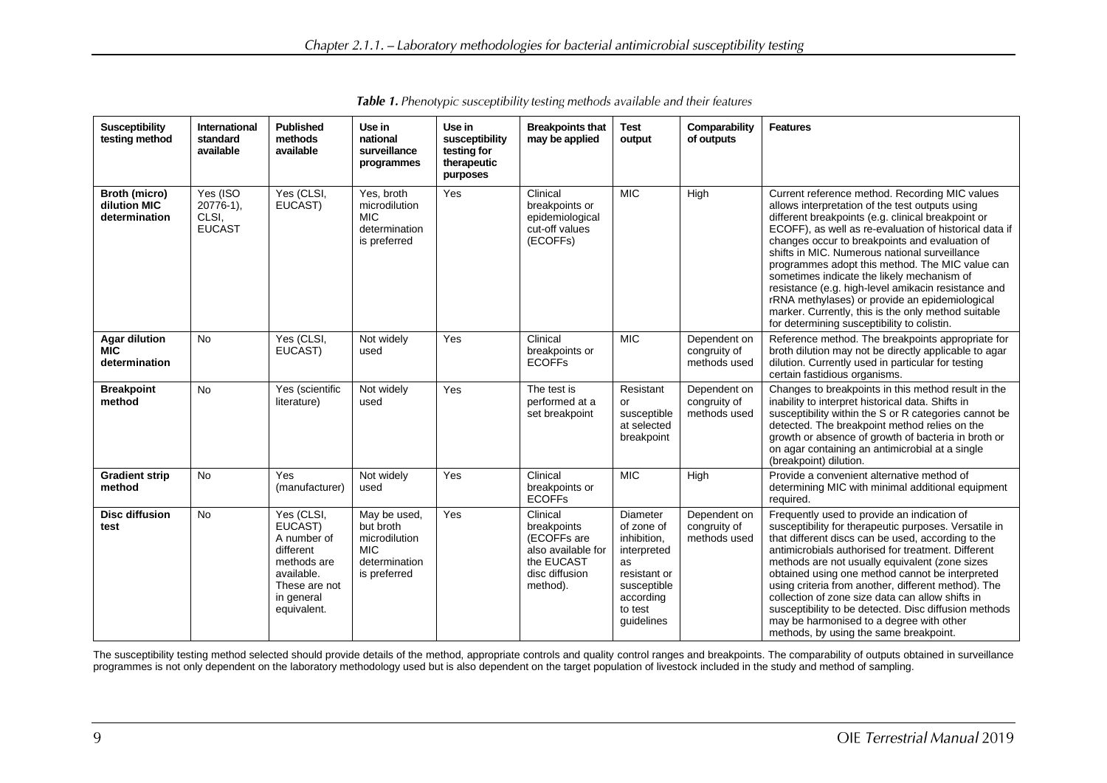| <b>Susceptibility</b><br>testing method             | <b>International</b><br>standard<br>available      | <b>Published</b><br>methods<br>available                                                                                     | Use in<br>national<br>surveillance<br>programmes                                          | Use in<br>susceptibility<br>testing for<br>therapeutic<br>purposes | <b>Breakpoints that</b><br>may be applied                                                                | <b>Test</b><br>output                                                                                                                  | Comparability<br>of outputs                  | <b>Features</b>                                                                                                                                                                                                                                                                                                                                                                                                                                                                                                                                                                                                                      |
|-----------------------------------------------------|----------------------------------------------------|------------------------------------------------------------------------------------------------------------------------------|-------------------------------------------------------------------------------------------|--------------------------------------------------------------------|----------------------------------------------------------------------------------------------------------|----------------------------------------------------------------------------------------------------------------------------------------|----------------------------------------------|--------------------------------------------------------------------------------------------------------------------------------------------------------------------------------------------------------------------------------------------------------------------------------------------------------------------------------------------------------------------------------------------------------------------------------------------------------------------------------------------------------------------------------------------------------------------------------------------------------------------------------------|
| Broth (micro)<br>dilution MIC<br>determination      | Yes (ISO<br>$20776-1$ ).<br>CLSI,<br><b>EUCAST</b> | Yes (CLSI,<br>EUCAST)                                                                                                        | Yes, broth<br>microdilution<br><b>MIC</b><br>determination<br>is preferred                | Yes                                                                | Clinical<br>breakpoints or<br>epidemiological<br>cut-off values<br>(ECOFFs)                              | <b>MIC</b>                                                                                                                             | High                                         | Current reference method. Recording MIC values<br>allows interpretation of the test outputs using<br>different breakpoints (e.g. clinical breakpoint or<br>ECOFF), as well as re-evaluation of historical data if<br>changes occur to breakpoints and evaluation of<br>shifts in MIC. Numerous national surveillance<br>programmes adopt this method. The MIC value can<br>sometimes indicate the likely mechanism of<br>resistance (e.g. high-level amikacin resistance and<br>rRNA methylases) or provide an epidemiological<br>marker. Currently, this is the only method suitable<br>for determining susceptibility to colistin. |
| <b>Agar dilution</b><br><b>MIC</b><br>determination | <b>No</b>                                          | Yes (CLSI,<br>EUCAST)                                                                                                        | Not widely<br>used                                                                        | Yes                                                                | Clinical<br>breakpoints or<br><b>ECOFFs</b>                                                              | <b>MIC</b>                                                                                                                             | Dependent on<br>congruity of<br>methods used | Reference method. The breakpoints appropriate for<br>broth dilution may not be directly applicable to agar<br>dilution. Currently used in particular for testing<br>certain fastidious organisms.                                                                                                                                                                                                                                                                                                                                                                                                                                    |
| <b>Breakpoint</b><br>method                         | <b>No</b>                                          | Yes (scientific<br>literature)                                                                                               | Not widely<br>used                                                                        | Yes                                                                | The test is<br>performed at a<br>set breakpoint                                                          | Resistant<br>or<br>susceptible<br>at selected<br>breakpoint                                                                            | Dependent on<br>congruity of<br>methods used | Changes to breakpoints in this method result in the<br>inability to interpret historical data. Shifts in<br>susceptibility within the S or R categories cannot be<br>detected. The breakpoint method relies on the<br>growth or absence of growth of bacteria in broth or<br>on agar containing an antimicrobial at a single<br>(breakpoint) dilution.                                                                                                                                                                                                                                                                               |
| <b>Gradient strip</b><br>method                     | <b>No</b>                                          | Yes<br>(manufacturer)                                                                                                        | Not widely<br>used                                                                        | Yes                                                                | Clinical<br>breakpoints or<br><b>ECOFFS</b>                                                              | <b>MIC</b>                                                                                                                             | High                                         | Provide a convenient alternative method of<br>determining MIC with minimal additional equipment<br>required.                                                                                                                                                                                                                                                                                                                                                                                                                                                                                                                         |
| <b>Disc diffusion</b><br>test                       | No                                                 | Yes (CLSI,<br>EUCAST)<br>A number of<br>different<br>methods are<br>available.<br>These are not<br>in general<br>equivalent. | May be used,<br>but broth<br>microdilution<br><b>MIC</b><br>determination<br>is preferred | Yes                                                                | Clinical<br>breakpoints<br>(ECOFFs are<br>also available for<br>the EUCAST<br>disc diffusion<br>method). | <b>Diameter</b><br>of zone of<br>inhibition,<br>interpreted<br>as<br>resistant or<br>susceptible<br>according<br>to test<br>guidelines | Dependent on<br>congruity of<br>methods used | Frequently used to provide an indication of<br>susceptibility for therapeutic purposes. Versatile in<br>that different discs can be used, according to the<br>antimicrobials authorised for treatment. Different<br>methods are not usually equivalent (zone sizes<br>obtained using one method cannot be interpreted<br>using criteria from another, different method). The<br>collection of zone size data can allow shifts in<br>susceptibility to be detected. Disc diffusion methods<br>may be harmonised to a degree with other<br>methods, by using the same breakpoint.                                                      |

Table 1. Phenotypic susceptibility testing methods available and their features

The susceptibility testing method selected should provide details of the method, appropriate controls and quality control ranges and breakpoints. The comparability of outputs obtained in surveillance programmes is not only dependent on the laboratory methodology used but is also dependent on the target population of livestock included in the study and method of sampling.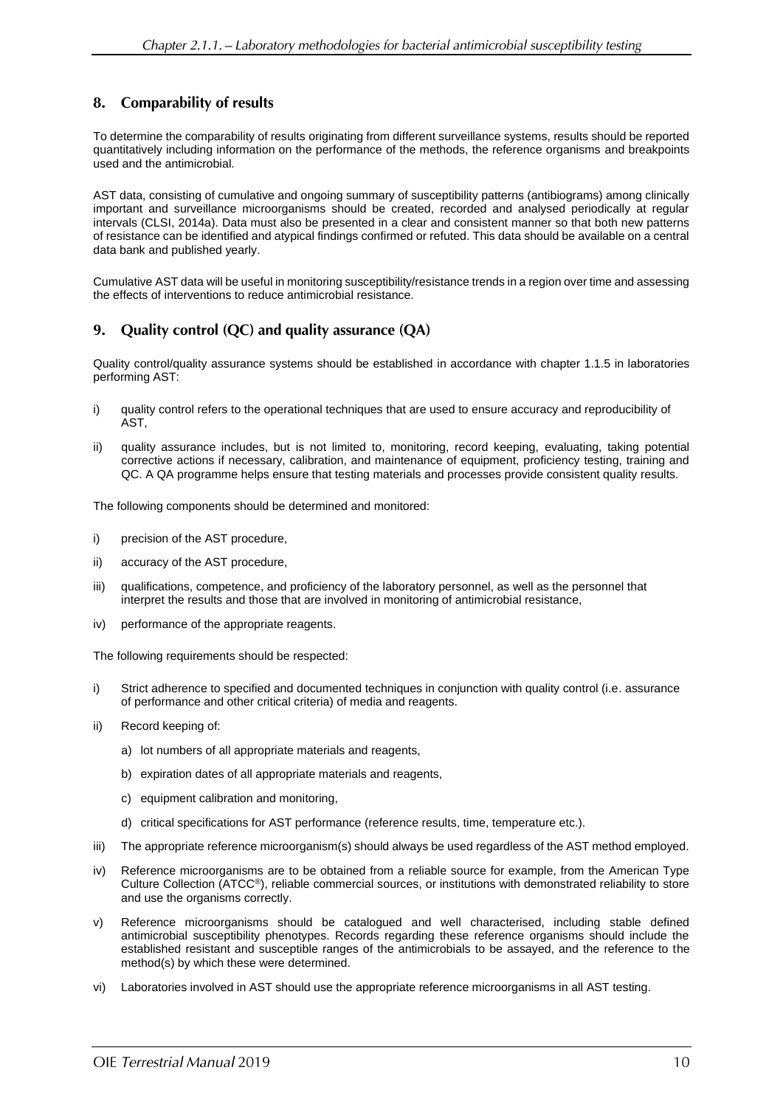#### 8. **Comparability of results**

To determine the comparability of results originating from different surveillance systems, results should be reported quantitatively including information on the performance of the methods, the reference organisms and breakpoints used and the antimicrobial.

AST data, consisting of cumulative and ongoing summary of susceptibility patterns (antibiograms) among clinically important and surveillance microorganisms should be created, recorded and analysed periodically at regular intervals (CLSI, 2014a). Data must also be presented in a clear and consistent manner so that both new patterns of resistance can be identified and atypical findings confirmed or refuted. This data should be available on a central data bank and published yearly.

Cumulative AST data will be useful in monitoring susceptibility/resistance trends in a region over time and assessing the effects of interventions to reduce antimicrobial resistance.

#### 9. Quality control (QC) and quality assurance (QA)

Quality control/quality assurance systems should be established in accordance with chapter 1.1.5 in laboratories performing AST:

- i) quality control refers to the operational techniques that are used to ensure accuracy and reproducibility of AST,
- ii) quality assurance includes, but is not limited to, monitoring, record keeping, evaluating, taking potential corrective actions if necessary, calibration, and maintenance of equipment, proficiency testing, training and QC. A QA programme helps ensure that testing materials and processes provide consistent quality results.

The following components should be determined and monitored:

- i) precision of the AST procedure,
- ii) accuracy of the AST procedure,
- iii) qualifications, competence, and proficiency of the laboratory personnel, as well as the personnel that interpret the results and those that are involved in monitoring of antimicrobial resistance,
- iv) performance of the appropriate reagents.

The following requirements should be respected:

- i) Strict adherence to specified and documented techniques in conjunction with quality control (i.e. assurance of performance and other critical criteria) of media and reagents.
- ii) Record keeping of:
	- a) lot numbers of all appropriate materials and reagents,
	- b) expiration dates of all appropriate materials and reagents,
	- c) equipment calibration and monitoring,
	- d) critical specifications for AST performance (reference results, time, temperature etc.).
- iii) The appropriate reference microorganism(s) should always be used regardless of the AST method employed.
- iv) Reference microorganisms are to be obtained from a reliable source for example, from the American Type Culture Collection (ATCC®), reliable commercial sources, or institutions with demonstrated reliability to store and use the organisms correctly.
- v) Reference microorganisms should be catalogued and well characterised, including stable defined antimicrobial susceptibility phenotypes. Records regarding these reference organisms should include the established resistant and susceptible ranges of the antimicrobials to be assayed, and the reference to the method(s) by which these were determined.
- vi) Laboratories involved in AST should use the appropriate reference microorganisms in all AST testing.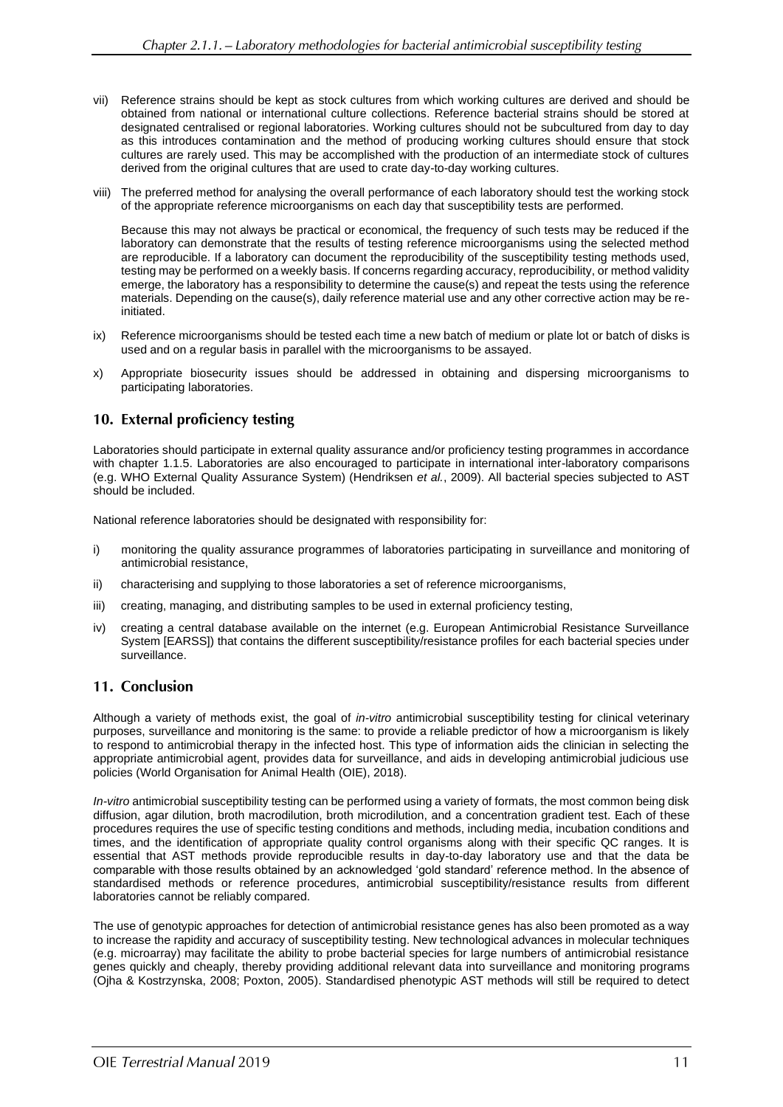- vii) Reference strains should be kept as stock cultures from which working cultures are derived and should be obtained from national or international culture collections. Reference bacterial strains should be stored at designated centralised or regional laboratories. Working cultures should not be subcultured from day to day as this introduces contamination and the method of producing working cultures should ensure that stock cultures are rarely used. This may be accomplished with the production of an intermediate stock of cultures derived from the original cultures that are used to crate day-to-day working cultures.
- viii) The preferred method for analysing the overall performance of each laboratory should test the working stock of the appropriate reference microorganisms on each day that susceptibility tests are performed.

Because this may not always be practical or economical, the frequency of such tests may be reduced if the laboratory can demonstrate that the results of testing reference microorganisms using the selected method are reproducible. If a laboratory can document the reproducibility of the susceptibility testing methods used, testing may be performed on a weekly basis. If concerns regarding accuracy, reproducibility, or method validity emerge, the laboratory has a responsibility to determine the cause(s) and repeat the tests using the reference materials. Depending on the cause(s), daily reference material use and any other corrective action may be reinitiated.

- ix) Reference microorganisms should be tested each time a new batch of medium or plate lot or batch of disks is used and on a regular basis in parallel with the microorganisms to be assayed.
- x) Appropriate biosecurity issues should be addressed in obtaining and dispersing microorganisms to participating laboratories.

## 10. External proficiency testing

Laboratories should participate in external quality assurance and/or proficiency testing programmes in accordance with chapter 1.1.5. Laboratories are also encouraged to participate in international inter-laboratory comparisons (e.g. WHO External Quality Assurance System) (Hendriksen *et al.*, 2009). All bacterial species subjected to AST should be included.

National reference laboratories should be designated with responsibility for:

- i) monitoring the quality assurance programmes of laboratories participating in surveillance and monitoring of antimicrobial resistance,
- ii) characterising and supplying to those laboratories a set of reference microorganisms,
- iii) creating, managing, and distributing samples to be used in external proficiency testing,
- iv) creating a central database available on the internet (e.g. European Antimicrobial Resistance Surveillance System [EARSS]) that contains the different susceptibility/resistance profiles for each bacterial species under surveillance.

### 11. Conclusion

Although a variety of methods exist, the goal of *in-vitro* antimicrobial susceptibility testing for clinical veterinary purposes, surveillance and monitoring is the same: to provide a reliable predictor of how a microorganism is likely to respond to antimicrobial therapy in the infected host. This type of information aids the clinician in selecting the appropriate antimicrobial agent, provides data for surveillance, and aids in developing antimicrobial judicious use policies (World Organisation for Animal Health (OIE), 2018).

*In-vitro* antimicrobial susceptibility testing can be performed using a variety of formats, the most common being disk diffusion, agar dilution, broth macrodilution, broth microdilution, and a concentration gradient test. Each of these procedures requires the use of specific testing conditions and methods, including media, incubation conditions and times, and the identification of appropriate quality control organisms along with their specific QC ranges. It is essential that AST methods provide reproducible results in day-to-day laboratory use and that the data be comparable with those results obtained by an acknowledged 'gold standard' reference method. In the absence of standardised methods or reference procedures, antimicrobial susceptibility/resistance results from different laboratories cannot be reliably compared.

The use of genotypic approaches for detection of antimicrobial resistance genes has also been promoted as a way to increase the rapidity and accuracy of susceptibility testing. New technological advances in molecular techniques (e.g. microarray) may facilitate the ability to probe bacterial species for large numbers of antimicrobial resistance genes quickly and cheaply, thereby providing additional relevant data into surveillance and monitoring programs (Ojha & Kostrzynska, 2008; Poxton, 2005). Standardised phenotypic AST methods will still be required to detect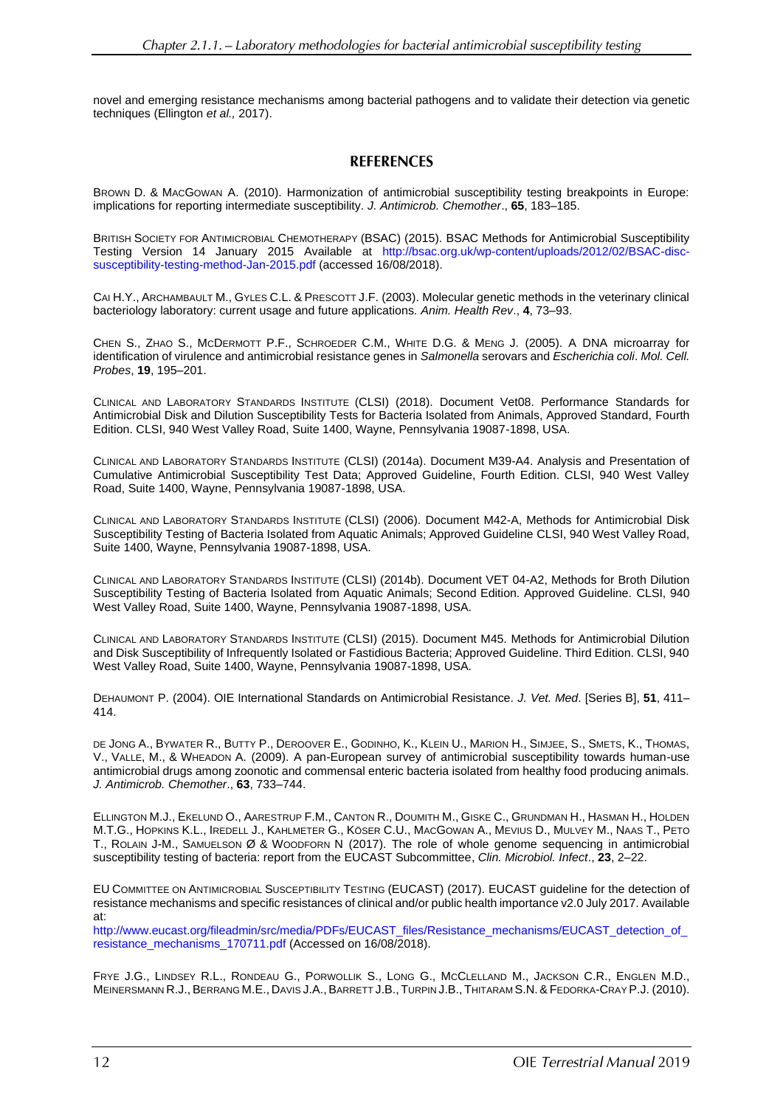novel and emerging resistance mechanisms among bacterial pathogens and to validate their detection via genetic techniques (Ellington *et al.,* 2017).

# **REFERENCES**

BROWN D. & MACGOWAN A. (2010). Harmonization of antimicrobial susceptibility testing breakpoints in Europe: implications for reporting intermediate susceptibility. *J. Antimicrob. Chemother*., **65**, 183–185.

BRITISH SOCIETY FOR ANTIMICROBIAL CHEMOTHERAPY (BSAC) (2015). BSAC Methods for Antimicrobial Susceptibility Testing Version 14 January 2015 Available at [http://bsac.org.uk/wp-content/uploads/2012/02/BSAC-disc](http://bsac.org.uk/wp-content/uploads/2012/02/BSAC-disc-susceptibility-testing-method-Jan-2015.pdf)[susceptibility-testing-method-Jan-2015.pdf](http://bsac.org.uk/wp-content/uploads/2012/02/BSAC-disc-susceptibility-testing-method-Jan-2015.pdf) (accessed 16/08/2018).

CAI H.Y., ARCHAMBAULT M., GYLES C.L. & PRESCOTT J.F. (2003). Molecular genetic methods in the veterinary clinical bacteriology laboratory: current usage and future applications. *Anim. Health Rev*., **4**, 73–93.

CHEN S., ZHAO S., MCDERMOTT P.F., SCHROEDER C.M., WHITE D.G. & MENG J. (2005). A DNA microarray for identification of virulence and antimicrobial resistance genes in *Salmonella* serovars and *Escherichia coli*. *Mol. Cell. Probes*, **19**, 195–201.

CLINICAL AND LABORATORY STANDARDS INSTITUTE (CLSI) (2018). Document Vet08. Performance Standards for Antimicrobial Disk and Dilution Susceptibility Tests for Bacteria Isolated from Animals, Approved Standard, Fourth Edition. CLSI, 940 West Valley Road, Suite 1400, Wayne, Pennsylvania 19087-1898, USA.

CLINICAL AND LABORATORY STANDARDS INSTITUTE (CLSI) (2014a). Document M39-A4. Analysis and Presentation of Cumulative Antimicrobial Susceptibility Test Data; Approved Guideline, Fourth Edition. CLSI, 940 West Valley Road, Suite 1400, Wayne, Pennsylvania 19087-1898, USA.

CLINICAL AND LABORATORY STANDARDS INSTITUTE (CLSI) (2006). Document M42-A, Methods for Antimicrobial Disk Susceptibility Testing of Bacteria Isolated from Aquatic Animals; Approved Guideline CLSI, 940 West Valley Road, Suite 1400, Wayne, Pennsylvania 19087-1898, USA.

CLINICAL AND LABORATORY STANDARDS INSTITUTE (CLSI) (2014b). Document VET 04-A2, Methods for Broth Dilution Susceptibility Testing of Bacteria Isolated from Aquatic Animals; Second Edition. Approved Guideline. CLSI, 940 West Valley Road, Suite 1400, Wayne, Pennsylvania 19087-1898, USA.

CLINICAL AND LABORATORY STANDARDS INSTITUTE (CLSI) (2015). Document M45. Methods for Antimicrobial Dilution and Disk Susceptibility of Infrequently Isolated or Fastidious Bacteria; Approved Guideline. Third Edition. CLSI, 940 West Valley Road, Suite 1400, Wayne, Pennsylvania 19087-1898, USA.

DEHAUMONT P. (2004). OIE International Standards on Antimicrobial Resistance. *J. Vet. Med*. [Series B], **51**, 411– 414.

DE JONG A., BYWATER R., BUTTY P., DEROOVER E., GODINHO, K., KLEIN U., MARION H., SIMJEE, S., SMETS, K., THOMAS, V., VALLE, M., & WHEADON A. (2009). A pan-European survey of antimicrobial susceptibility towards human-use antimicrobial drugs among zoonotic and commensal enteric bacteria isolated from healthy food producing animals. *J. Antimicrob. Chemother*., **63**, 733–744.

ELLINGTON M.J., EKELUND O., AARESTRUP F.M., CANTON R., DOUMITH M., GISKE C., GRUNDMAN H., HASMAN H., HOLDEN M.T.G., HOPKINS K.L., IREDELL J., KAHLMETER G., KÖSER C.U., MACGOWAN A., MEVIUS D., MULVEY M., NAAS T., PETO T., ROLAIN J-M., SAMUELSON Ø & WOODFORN N (2017). The role of whole genome sequencing in antimicrobial susceptibility testing of bacteria: report from the EUCAST Subcommittee, *Clin. Microbiol. Infect*., **23**, 2–22.

EU COMMITTEE ON ANTIMICROBIAL SUSCEPTIBILITY TESTING (EUCAST) (2017). EUCAST guideline for the detection of resistance mechanisms and specific resistances of clinical and/or public health importance v2.0 July 2017. Available at:

[http://www.eucast.org/fileadmin/src/media/PDFs/EUCAST\\_files/Resistance\\_mechanisms/EUCAST\\_detection\\_of\\_](http://www.eucast.org/fileadmin/src/media/PDFs/EUCAST_files/Resistance_mechanisms/EUCAST_detection_of_resistance_mechanisms_170711.pdf) [resistance\\_mechanisms\\_170711.pdf](http://www.eucast.org/fileadmin/src/media/PDFs/EUCAST_files/Resistance_mechanisms/EUCAST_detection_of_resistance_mechanisms_170711.pdf) (Accessed on 16/08/2018).

FRYE J.G., LINDSEY R.L., RONDEAU G., PORWOLLIK S., LONG G., MCCLELLAND M., JACKSON C.R., ENGLEN M.D., MEINERSMANN R.J.,BERRANG M.E., DAVIS J.A.,BARRETT J.B., TURPIN J.B., THITARAM S.N.& FEDORKA-CRAY P.J. (2010).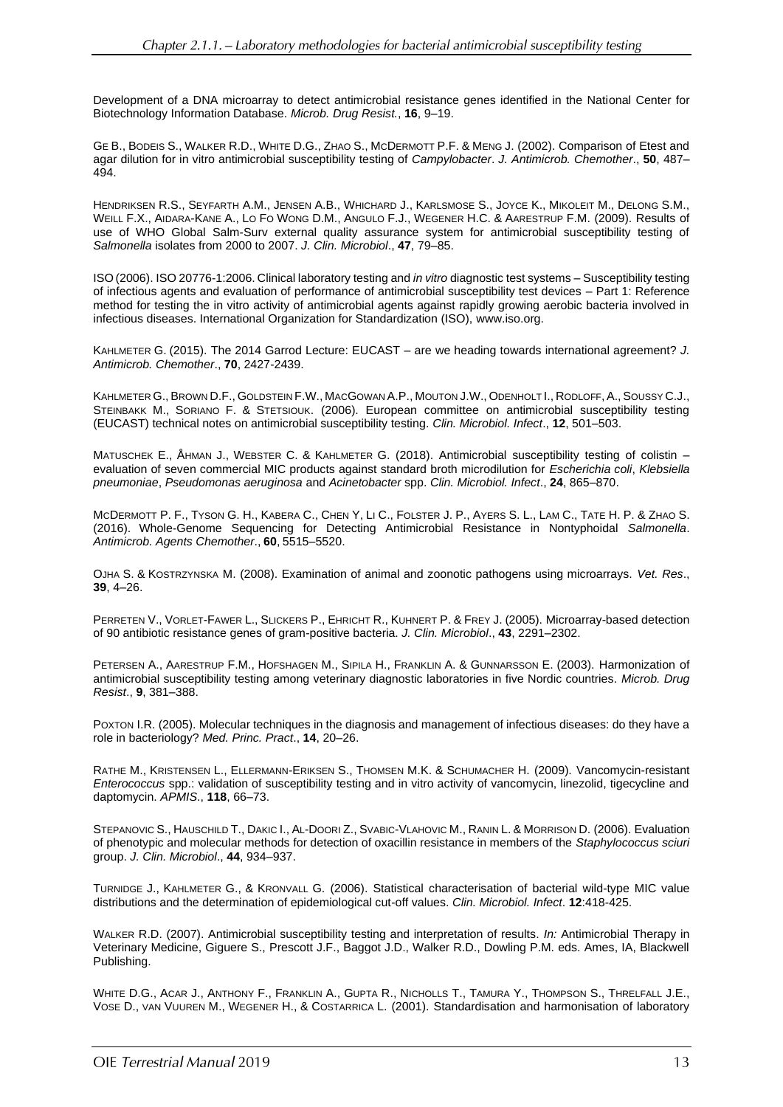Development of a DNA microarray to detect antimicrobial resistance genes identified in the National Center for Biotechnology Information Database. *Microb. Drug Resist.*, **16**, 9–19.

GE B., BODEIS S., WALKER R.D., WHITE D.G., ZHAO S., MCDERMOTT P.F. & MENG J. (2002). Comparison of Etest and agar dilution for in vitro antimicrobial susceptibility testing of *Campylobacter*. *J. Antimicrob. Chemother*., **50**, 487– 494.

HENDRIKSEN R.S., SEYFARTH A.M., JENSEN A.B., WHICHARD J., KARLSMOSE S., JOYCE K., MIKOLEIT M., DELONG S.M., WEILL F.X., AIDARA-KANE A., LO FO WONG D.M., ANGULO F.J., WEGENER H.C. & AARESTRUP F.M. (2009). Results of use of WHO Global Salm-Surv external quality assurance system for antimicrobial susceptibility testing of *Salmonella* isolates from 2000 to 2007. *J. Clin. Microbiol*., **47**, 79–85.

ISO (2006). ISO 20776-1:2006. Clinical laboratory testing and *in vitro* diagnostic test systems – Susceptibility testing of infectious agents and evaluation of performance of antimicrobial susceptibility test devices – Part 1: Reference method for testing the in vitro activity of antimicrobial agents against rapidly growing aerobic bacteria involved in infectious diseases. International Organization for Standardization (ISO), [www.iso.org.](http://www.iso.org/)

KAHLMETER G. (2015). The 2014 Garrod Lecture: EUCAST – are we heading towards international agreement? *J. Antimicrob. Chemother*., **70**, 2427-2439.

KAHLMETER G., BROWN D.F., GOLDSTEIN F.W., MACGOWAN A.P., MOUTON J.W., ODENHOLT I., RODLOFF, A., SOUSSY C.J., STEINBAKK M., SORIANO F. & STETSIOUK. (2006). European committee on antimicrobial susceptibility testing (EUCAST) technical notes on antimicrobial susceptibility testing. *Clin. Microbiol. Infect*., **12**, 501–503.

MATUSCHEK E., ÅHMAN J., WEBSTER C. & KAHLMETER G. (2018). Antimicrobial susceptibility testing of colistin – evaluation of seven commercial MIC products against standard broth microdilution for *Escherichia coli*, *Klebsiella pneumoniae*, *Pseudomonas aeruginosa* and *Acinetobacter* spp. *Clin. Microbiol. Infect*., **24**, 865–870.

MCDERMOTT P. F., TYSON G. H., KABERA C., CHEN Y, LI C., FOLSTER J. P., AYERS S. L., LAM C., TATE H. P. & ZHAO S. (2016). Whole-Genome Sequencing for Detecting Antimicrobial Resistance in Nontyphoidal *Salmonella*. *Antimicrob. Agents Chemother*., **60**, 5515–5520.

OJHA S. & KOSTRZYNSKA M. (2008). Examination of animal and zoonotic pathogens using microarrays. *Vet. Res*., **39**, 4–26.

PERRETEN V., VORLET-FAWER L., SLICKERS P., EHRICHT R., KUHNERT P. & FREY J. (2005). Microarray-based detection of 90 antibiotic resistance genes of gram-positive bacteria. *J. Clin. Microbiol*., **43**, 2291–2302.

PETERSEN A., AARESTRUP F.M., HOFSHAGEN M., SIPILA H., FRANKLIN A. & GUNNARSSON E. (2003). Harmonization of antimicrobial susceptibility testing among veterinary diagnostic laboratories in five Nordic countries. *Microb. Drug Resist*., **9**, 381–388.

POXTON I.R. (2005). Molecular techniques in the diagnosis and management of infectious diseases: do they have a role in bacteriology? *Med. Princ. Pract*., **14**, 20–26.

RATHE M., KRISTENSEN L., ELLERMANN-ERIKSEN S., THOMSEN M.K. & SCHUMACHER H. (2009). Vancomycin-resistant *Enterococcus* spp.: validation of susceptibility testing and in vitro activity of vancomycin, linezolid, tigecycline and daptomycin. *APMIS*., **118**, 66–73.

STEPANOVIC S., HAUSCHILD T., DAKIC I., AL-DOORI Z., SVABIC-VLAHOVIC M., RANIN L. & MORRISON D. (2006). Evaluation of phenotypic and molecular methods for detection of oxacillin resistance in members of the *Staphylococcus sciuri* group. *J. Clin. Microbiol*., **44**, 934–937.

TURNIDGE J., KAHLMETER G., & KRONVALL G. (2006). Statistical characterisation of bacterial wild-type MIC value distributions and the determination of epidemiological cut-off values. *Clin. Microbiol. Infect*. **12**:418-425.

WALKER R.D. (2007). Antimicrobial susceptibility testing and interpretation of results. *In:* Antimicrobial Therapy in Veterinary Medicine, Giguere S., Prescott J.F., Baggot J.D., Walker R.D., Dowling P.M. eds. Ames, IA, Blackwell Publishing.

WHITE D.G., ACAR J., ANTHONY F., FRANKLIN A., GUPTA R., NICHOLLS T., TAMURA Y., THOMPSON S., THRELFALL J.E., VOSE D., VAN VUUREN M., WEGENER H., & COSTARRICA L. (2001). Standardisation and harmonisation of laboratory